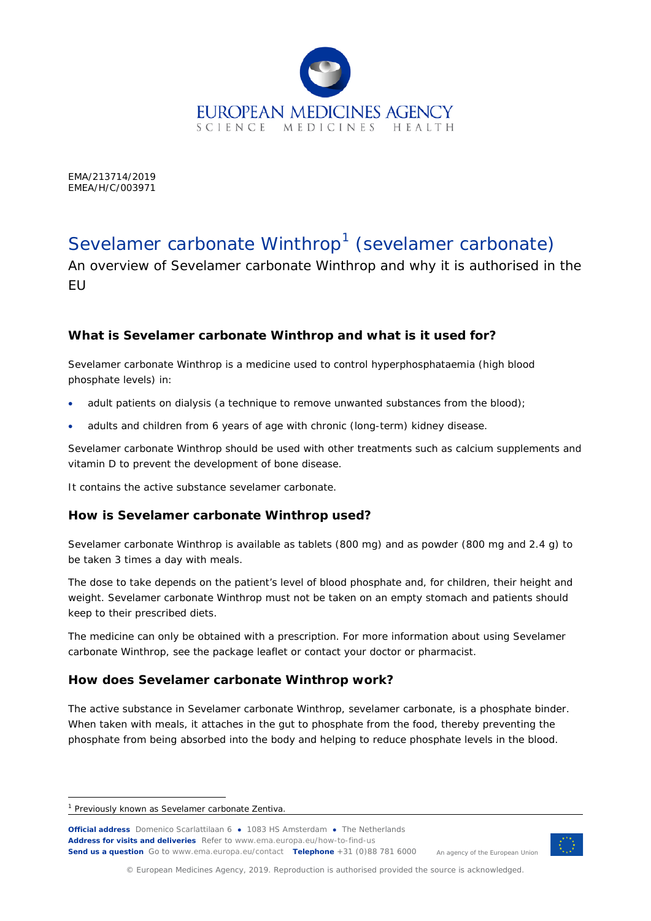

EMA/213714/2019 EMEA/H/C/003971

# Sevelamer carbonate Winthrop<sup>[1](#page-0-0)</sup> (*sevelamer carbonate*)

An overview of Sevelamer carbonate Winthrop and why it is authorised in the EU

## **What is Sevelamer carbonate Winthrop and what is it used for?**

Sevelamer carbonate Winthrop is a medicine used to control hyperphosphataemia (high blood phosphate levels) in:

- adult patients on dialysis (a technique to remove unwanted substances from the blood);
- adults and children from 6 years of age with chronic (long-term) kidney disease.

Sevelamer carbonate Winthrop should be used with other treatments such as calcium supplements and vitamin D to prevent the development of bone disease.

It contains the active substance sevelamer carbonate.

## **How is Sevelamer carbonate Winthrop used?**

Sevelamer carbonate Winthrop is available as tablets (800 mg) and as powder (800 mg and 2.4 g) to be taken 3 times a day with meals.

The dose to take depends on the patient's level of blood phosphate and, for children, their height and weight. Sevelamer carbonate Winthrop must not be taken on an empty stomach and patients should keep to their prescribed diets.

The medicine can only be obtained with a prescription. For more information about using Sevelamer carbonate Winthrop, see the package leaflet or contact your doctor or pharmacist.

## **How does Sevelamer carbonate Winthrop work?**

The active substance in Sevelamer carbonate Winthrop, sevelamer carbonate, is a phosphate binder. When taken with meals, it attaches in the gut to phosphate from the food, thereby preventing the phosphate from being absorbed into the body and helping to reduce phosphate levels in the blood.

l

**Official address** Domenico Scarlattilaan 6 **●** 1083 HS Amsterdam **●** The Netherlands An agency of the European Union **Address for visits and deliveries** Refer to www.ema.europa.eu/how-to-find-us **Send us a question** Go to www.ema.europa.eu/contact **Telephone** +31 (0)88 781 6000

© European Medicines Agency, 2019. Reproduction is authorised provided the source is acknowledged.

<span id="page-0-0"></span><sup>&</sup>lt;sup>1</sup> Previously known as Sevelamer carbonate Zentiva.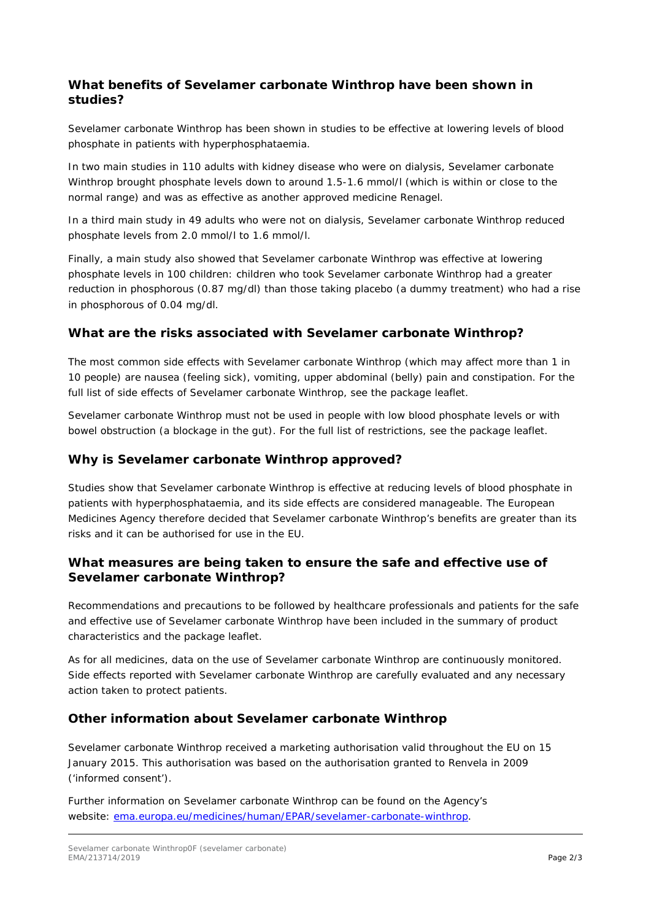## **What benefits of Sevelamer carbonate Winthrop have been shown in studies?**

Sevelamer carbonate Winthrop has been shown in studies to be effective at lowering levels of blood phosphate in patients with hyperphosphataemia.

In two main studies in 110 adults with kidney disease who were on dialysis, Sevelamer carbonate Winthrop brought phosphate levels down to around 1.5-1.6 mmol/l (which is within or close to the normal range) and was as effective as another approved medicine Renagel.

In a third main study in 49 adults who were not on dialysis, Sevelamer carbonate Winthrop reduced phosphate levels from 2.0 mmol/l to 1.6 mmol/l.

Finally, a main study also showed that Sevelamer carbonate Winthrop was effective at lowering phosphate levels in 100 children: children who took Sevelamer carbonate Winthrop had a greater reduction in phosphorous (0.87 mg/dl) than those taking placebo (a dummy treatment) who had a rise in phosphorous of 0.04 mg/dl.

## **What are the risks associated with Sevelamer carbonate Winthrop?**

The most common side effects with Sevelamer carbonate Winthrop (which may affect more than 1 in 10 people) are nausea (feeling sick), vomiting, upper abdominal (belly) pain and constipation. For the full list of side effects of Sevelamer carbonate Winthrop, see the package leaflet.

Sevelamer carbonate Winthrop must not be used in people with low blood phosphate levels or with bowel obstruction (a blockage in the gut). For the full list of restrictions, see the package leaflet.

## **Why is Sevelamer carbonate Winthrop approved?**

Studies show that Sevelamer carbonate Winthrop is effective at reducing levels of blood phosphate in patients with hyperphosphataemia, and its side effects are considered manageable. The European Medicines Agency therefore decided that Sevelamer carbonate Winthrop's benefits are greater than its risks and it can be authorised for use in the EU.

## **What measures are being taken to ensure the safe and effective use of Sevelamer carbonate Winthrop?**

Recommendations and precautions to be followed by healthcare professionals and patients for the safe and effective use of Sevelamer carbonate Winthrop have been included in the summary of product characteristics and the package leaflet.

As for all medicines, data on the use of Sevelamer carbonate Winthrop are continuously monitored. Side effects reported with Sevelamer carbonate Winthrop are carefully evaluated and any necessary action taken to protect patients.

## **Other information about Sevelamer carbonate Winthrop**

Sevelamer carbonate Winthrop received a marketing authorisation valid throughout the EU on 15 January 2015. This authorisation was based on the authorisation granted to Renvela in 2009 ('informed consent').

Further information on Sevelamer carbonate Winthrop can be found on the Agency's website: [ema.europa.eu/medicines/human/EPAR/sevelamer-carbonate-winthrop.](https://www.ema.europa.eu/en/medicines/human/EPAR/sevelamer-carbonate-zentiva)